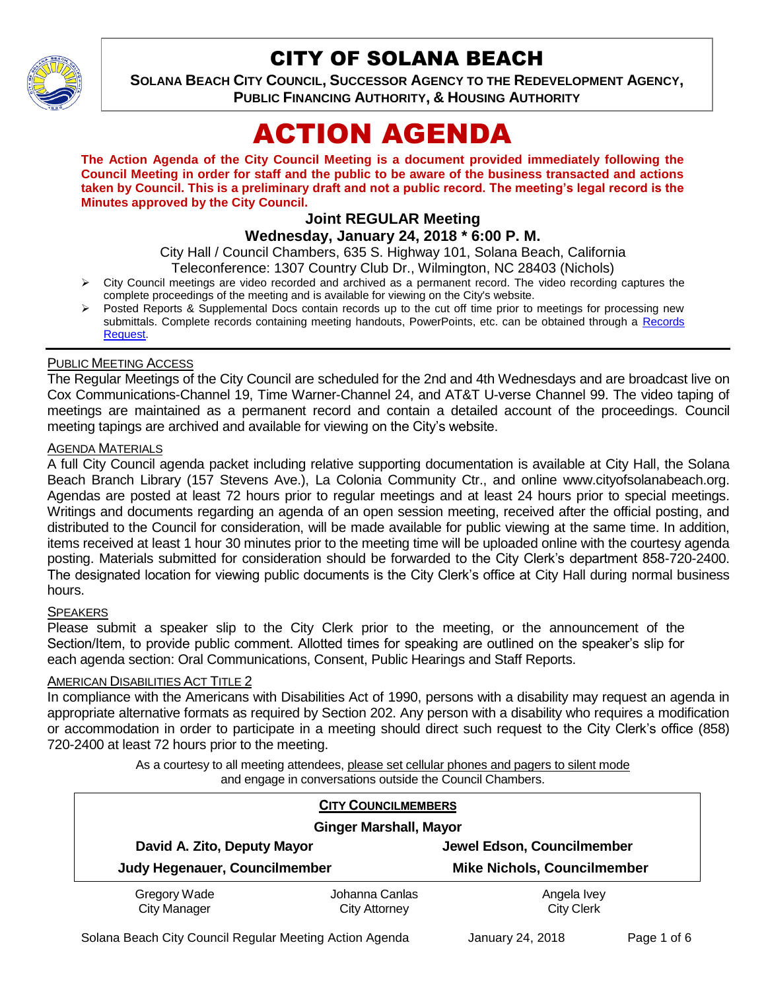

# CITY OF SOLANA BEACH

**SOLANA BEACH CITY COUNCIL, SUCCESSOR AGENCY TO THE REDEVELOPMENT AGENCY, PUBLIC FINANCING AUTHORITY, & HOUSING AUTHORITY** 

# ACTION AGENDA

**The Action Agenda of the City Council Meeting is a document provided immediately following the Council Meeting in order for staff and the public to be aware of the business transacted and actions taken by Council. This is a preliminary draft and not a public record. The meeting's legal record is the Minutes approved by the City Council.**

# **Joint REGULAR Meeting**

# **Wednesday, January 24, 2018 \* 6:00 P. M.**

City Hall / Council Chambers, 635 S. Highway 101, Solana Beach, California

- Teleconference: 1307 Country Club Dr., Wilmington, NC 28403 (Nichols)
- > City Council meetings are video recorded and archived as a permanent record. The video recording captures the complete proceedings of the meeting and is available for viewing on the City's website.
- Posted Reports & Supplemental Docs contain records up to the cut off time prior to meetings for processing new submittals. Complete records containing meeting handouts, PowerPoints, etc. can be obtained through a Records [Request.](http://www.ci.solana-beach.ca.us/index.asp?SEC=F5D45D10-70CE-4291-A27C-7BD633FC6742&Type=B_BASIC)

#### PUBLIC MEETING ACCESS

The Regular Meetings of the City Council are scheduled for the 2nd and 4th Wednesdays and are broadcast live on Cox Communications-Channel 19, Time Warner-Channel 24, and AT&T U-verse Channel 99. The video taping of meetings are maintained as a permanent record and contain a detailed account of the proceedings. Council meeting tapings are archived and available for viewing on the City's website.

#### **AGENDA MATERIALS**

A full City Council agenda packet including relative supporting documentation is available at City Hall, the Solana Beach Branch Library (157 Stevens Ave.), La Colonia Community Ctr., and online www.cityofsolanabeach.org. Agendas are posted at least 72 hours prior to regular meetings and at least 24 hours prior to special meetings. Writings and documents regarding an agenda of an open session meeting, received after the official posting, and distributed to the Council for consideration, will be made available for public viewing at the same time. In addition, items received at least 1 hour 30 minutes prior to the meeting time will be uploaded online with the courtesy agenda posting. Materials submitted for consideration should be forwarded to the City Clerk's department 858-720-2400. The designated location for viewing public documents is the City Clerk's office at City Hall during normal business hours.

#### **SPEAKERS**

Please submit a speaker slip to the City Clerk prior to the meeting, or the announcement of the Section/Item, to provide public comment. Allotted times for speaking are outlined on the speaker's slip for each agenda section: Oral Communications, Consent, Public Hearings and Staff Reports.

#### AMERICAN DISABILITIES ACT TITLE 2

In compliance with the Americans with Disabilities Act of 1990, persons with a disability may request an agenda in appropriate alternative formats as required by Section 202. Any person with a disability who requires a modification or accommodation in order to participate in a meeting should direct such request to the City Clerk's office (858) 720-2400 at least 72 hours prior to the meeting.

> As a courtesy to all meeting attendees, please set cellular phones and pagers to silent mode and engage in conversations outside the Council Chambers.

| <b>CITY COUNCILMEMBERS</b><br><b>Ginger Marshall, Mayor</b> |                      |                                    |
|-------------------------------------------------------------|----------------------|------------------------------------|
|                                                             |                      |                                    |
| Judy Hegenauer, Councilmember                               |                      | <b>Mike Nichols, Councilmember</b> |
| Gregory Wade                                                | Johanna Canlas       | Angela Ivey                        |
| City Manager                                                | <b>City Attorney</b> | <b>City Clerk</b>                  |

Solana Beach City Council Regular Meeting Action Agenda January 24, 2018 Page 1 of 6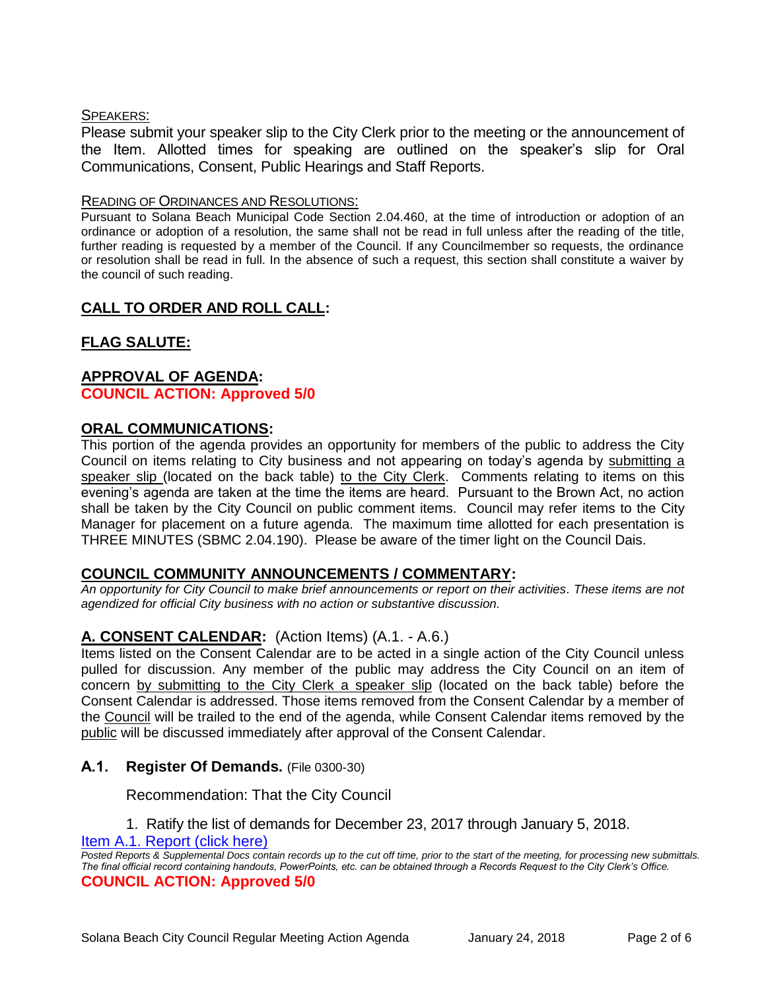#### SPEAKERS:

Please submit your speaker slip to the City Clerk prior to the meeting or the announcement of the Item. Allotted times for speaking are outlined on the speaker's slip for Oral Communications, Consent, Public Hearings and Staff Reports.

#### READING OF ORDINANCES AND RESOLUTIONS:

Pursuant to Solana Beach Municipal Code Section 2.04.460, at the time of introduction or adoption of an ordinance or adoption of a resolution, the same shall not be read in full unless after the reading of the title, further reading is requested by a member of the Council. If any Councilmember so requests, the ordinance or resolution shall be read in full. In the absence of such a request, this section shall constitute a waiver by the council of such reading.

# **CALL TO ORDER AND ROLL CALL:**

# **FLAG SALUTE:**

## **APPROVAL OF AGENDA: COUNCIL ACTION: Approved 5/0**

#### **ORAL COMMUNICATIONS:**

This portion of the agenda provides an opportunity for members of the public to address the City Council on items relating to City business and not appearing on today's agenda by submitting a speaker slip (located on the back table) to the City Clerk. Comments relating to items on this evening's agenda are taken at the time the items are heard. Pursuant to the Brown Act, no action shall be taken by the City Council on public comment items. Council may refer items to the City Manager for placement on a future agenda. The maximum time allotted for each presentation is THREE MINUTES (SBMC 2.04.190). Please be aware of the timer light on the Council Dais.

#### **COUNCIL COMMUNITY ANNOUNCEMENTS / COMMENTARY:**

*An opportunity for City Council to make brief announcements or report on their activities. These items are not agendized for official City business with no action or substantive discussion.* 

# **A. CONSENT CALENDAR:** (Action Items) (A.1. - A.6.)

Items listed on the Consent Calendar are to be acted in a single action of the City Council unless pulled for discussion. Any member of the public may address the City Council on an item of concern by submitting to the City Clerk a speaker slip (located on the back table) before the Consent Calendar is addressed. Those items removed from the Consent Calendar by a member of the Council will be trailed to the end of the agenda, while Consent Calendar items removed by the public will be discussed immediately after approval of the Consent Calendar.

#### **A.1. Register Of Demands.** (File 0300-30)

Recommendation: That the City Council

1. Ratify the list of demands for December 23, 2017 through January 5, 2018.

#### [Item A.1. Report \(click here\)](https://solanabeach.govoffice3.com/vertical/Sites/%7B840804C2-F869-4904-9AE3-720581350CE7%7D/uploads/Item_A.1._Report_(click_here)_-_1-24-18.PDF)

*Posted Reports & Supplemental Docs contain records up to the cut off time, prior to the start of the meeting, for processing new submittals. The final official record containing handouts, PowerPoints, etc. can be obtained through a Records Request to the City Clerk's Office.* **COUNCIL ACTION: Approved 5/0**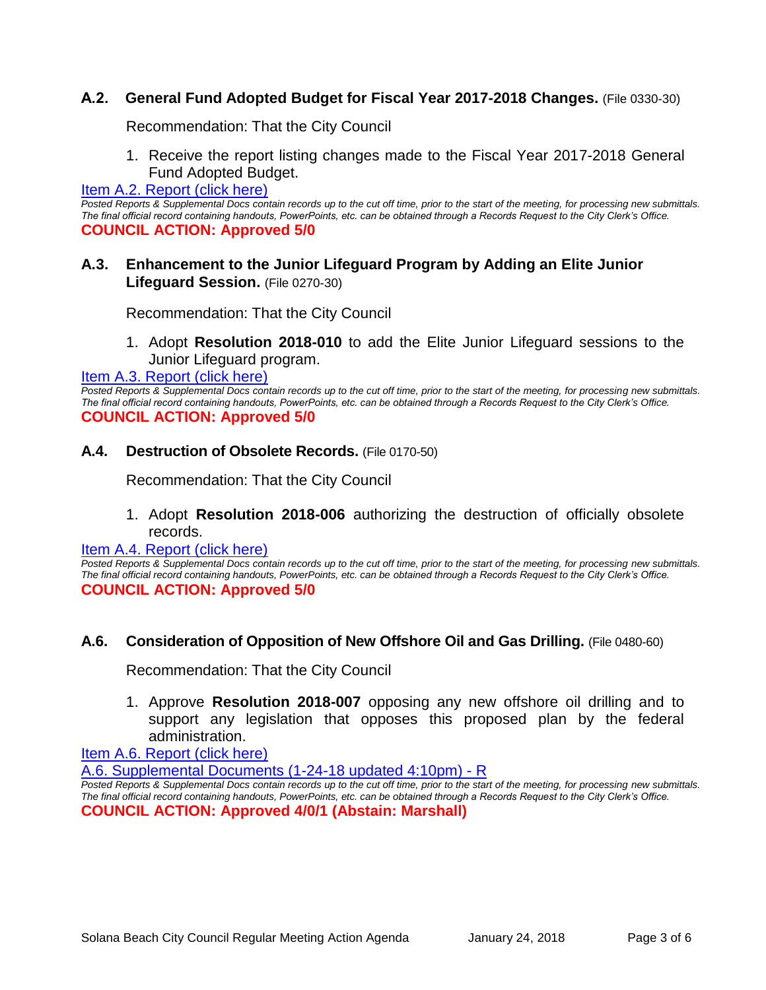# **A.2. General Fund Adopted Budget for Fiscal Year 2017-2018 Changes.** (File 0330-30)

Recommendation: That the City Council

1. Receive the report listing changes made to the Fiscal Year 2017-2018 General Fund Adopted Budget.

#### [Item A.2. Report \(click here\)](https://solanabeach.govoffice3.com/vertical/Sites/%7B840804C2-F869-4904-9AE3-720581350CE7%7D/uploads/Item_A.2._Report_(click_here)_-_1-24-18.PDF)

Posted Reports & Supplemental Docs contain records up to the cut off time, prior to the start of the meeting, for processing new submittals. *The final official record containing handouts, PowerPoints, etc. can be obtained through a Records Request to the City Clerk's Office.* **COUNCIL ACTION: Approved 5/0**

## **A.3. Enhancement to the Junior Lifeguard Program by Adding an Elite Junior Lifeguard Session.** (File 0270-30)

Recommendation: That the City Council

1. Adopt **Resolution 2018-010** to add the Elite Junior Lifeguard sessions to the Junior Lifeguard program.

#### [Item A.3. Report \(click here\)](https://solanabeach.govoffice3.com/vertical/Sites/%7B840804C2-F869-4904-9AE3-720581350CE7%7D/uploads/Item_A.3._Report_(click_here)_-_1-24-18.PDF)

*Posted Reports & Supplemental Docs contain records up to the cut off time, prior to the start of the meeting, for processing new submittals. The final official record containing handouts, PowerPoints, etc. can be obtained through a Records Request to the City Clerk's Office.* **COUNCIL ACTION: Approved 5/0**

#### **A.4. Destruction of Obsolete Records.** (File 0170-50)

Recommendation: That the City Council

1. Adopt **Resolution 2018-006** authorizing the destruction of officially obsolete records.

#### [Item A.4. Report \(click here\)](https://solanabeach.govoffice3.com/vertical/Sites/%7B840804C2-F869-4904-9AE3-720581350CE7%7D/uploads/Item_A.4._Report_(click_here)_-_1-24-18.PDF)

*Posted Reports & Supplemental Docs contain records up to the cut off time, prior to the start of the meeting, for processing new submittals. The final official record containing handouts, PowerPoints, etc. can be obtained through a Records Request to the City Clerk's Office.* **COUNCIL ACTION: Approved 5/0**

#### **A.6. Consideration of Opposition of New Offshore Oil and Gas Drilling.** (File 0480-60)

Recommendation: That the City Council

1. Approve **Resolution 2018-007** opposing any new offshore oil drilling and to support any legislation that opposes this proposed plan by the federal administration.

[Item A.6. Report \(click here\)](https://solanabeach.govoffice3.com/vertical/Sites/%7B840804C2-F869-4904-9AE3-720581350CE7%7D/uploads/Item_A.6._Report_(click_here)_-_1-24-18.PDF)

A.6. Supplemental [Documents \(1-24-18 updated 4:10pm\) -](https://solanabeach.govoffice3.com/vertical/Sites/%7B840804C2-F869-4904-9AE3-720581350CE7%7D/uploads/A.6._Supplemental_Documents_(1-24-18_updated_500pm)_-_R.pdf) R

*Posted Reports & Supplemental Docs contain records up to the cut off time, prior to the start of the meeting, for processing new submittals. The final official record containing handouts, PowerPoints, etc. can be obtained through a Records Request to the City Clerk's Office.* **COUNCIL ACTION: Approved 4/0/1 (Abstain: Marshall)**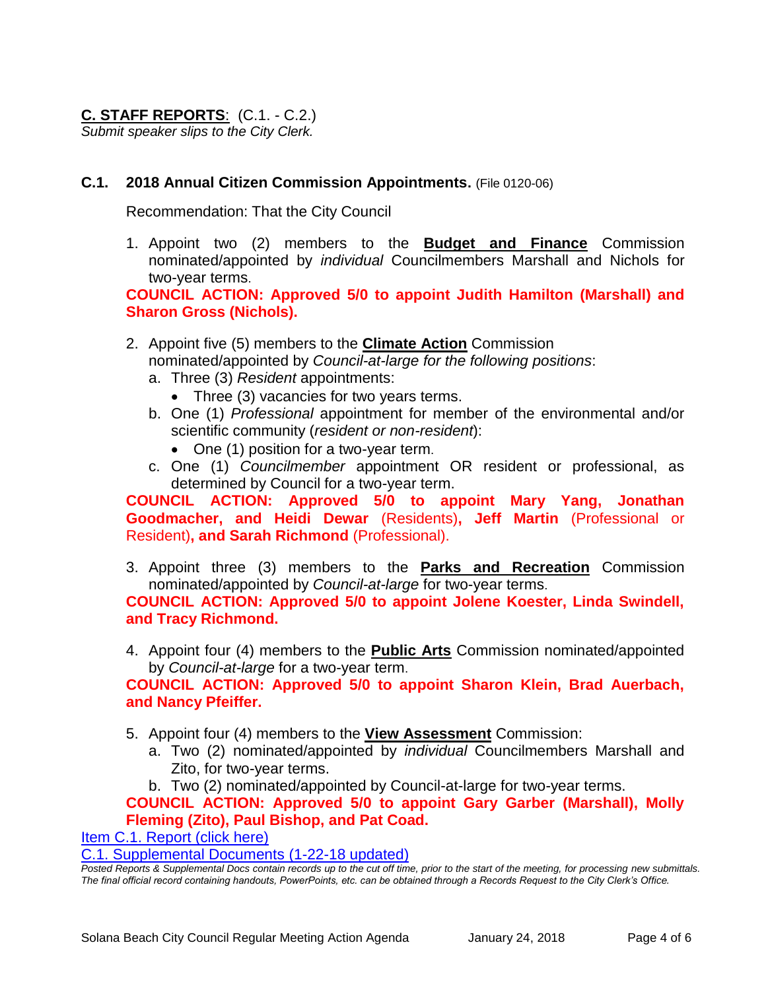# **C. STAFF REPORTS**: (C.1. - C.2.)

*Submit speaker slips to the City Clerk.*

## **C.1. 2018 Annual Citizen Commission Appointments.** (File 0120-06)

Recommendation: That the City Council

1. Appoint two (2) members to the **Budget and Finance** Commission nominated/appointed by *individual* Councilmembers Marshall and Nichols for two-year terms.

**COUNCIL ACTION: Approved 5/0 to appoint Judith Hamilton (Marshall) and Sharon Gross (Nichols).** 

- 2. Appoint five (5) members to the **Climate Action** Commission nominated/appointed by *Council-at-large for the following positions*:
	- a. Three (3) *Resident* appointments:
		- Three (3) vacancies for two years terms.
	- b. One (1) *Professional* appointment for member of the environmental and/or scientific community (*resident or non-resident*):
		- One (1) position for a two-year term.
	- c. One (1) *Councilmember* appointment OR resident or professional, as determined by Council for a two-year term.

**COUNCIL ACTION: Approved 5/0 to appoint Mary Yang, Jonathan Goodmacher, and Heidi Dewar** (Residents)**, Jeff Martin** (Professional or Resident)**, and Sarah Richmond** (Professional).

3. Appoint three (3) members to the **Parks and Recreation** Commission nominated/appointed by *Council-at-large* for two-year terms.

**COUNCIL ACTION: Approved 5/0 to appoint Jolene Koester, Linda Swindell, and Tracy Richmond.** 

4. Appoint four (4) members to the **Public Arts** Commission nominated/appointed by *Council-at-large* for a two-year term.

**COUNCIL ACTION: Approved 5/0 to appoint Sharon Klein, Brad Auerbach, and Nancy Pfeiffer.** 

- 5. Appoint four (4) members to the **View Assessment** Commission:
	- a. Two (2) nominated/appointed by *individual* Councilmembers Marshall and Zito, for two-year terms.
	- b. Two (2) nominated/appointed by Council-at-large for two-year terms.

# **COUNCIL ACTION: Approved 5/0 to appoint Gary Garber (Marshall), Molly Fleming (Zito), Paul Bishop, and Pat Coad.**

[Item C.1. Report \(click here\)](https://solanabeach.govoffice3.com/vertical/Sites/%7B840804C2-F869-4904-9AE3-720581350CE7%7D/uploads/Item_C.1._Report_(click_here)_-_1-24-18.PDF)

[C.1. Supplemental Documents \(1-22-18](https://solanabeach.govoffice3.com/vertical/Sites/%7B840804C2-F869-4904-9AE3-720581350CE7%7D/uploads/C.1._Supplemental_Docs_1-22-18.pdf) updated)

*Posted Reports & Supplemental Docs contain records up to the cut off time, prior to the start of the meeting, for processing new submittals. The final official record containing handouts, PowerPoints, etc. can be obtained through a Records Request to the City Clerk's Office.*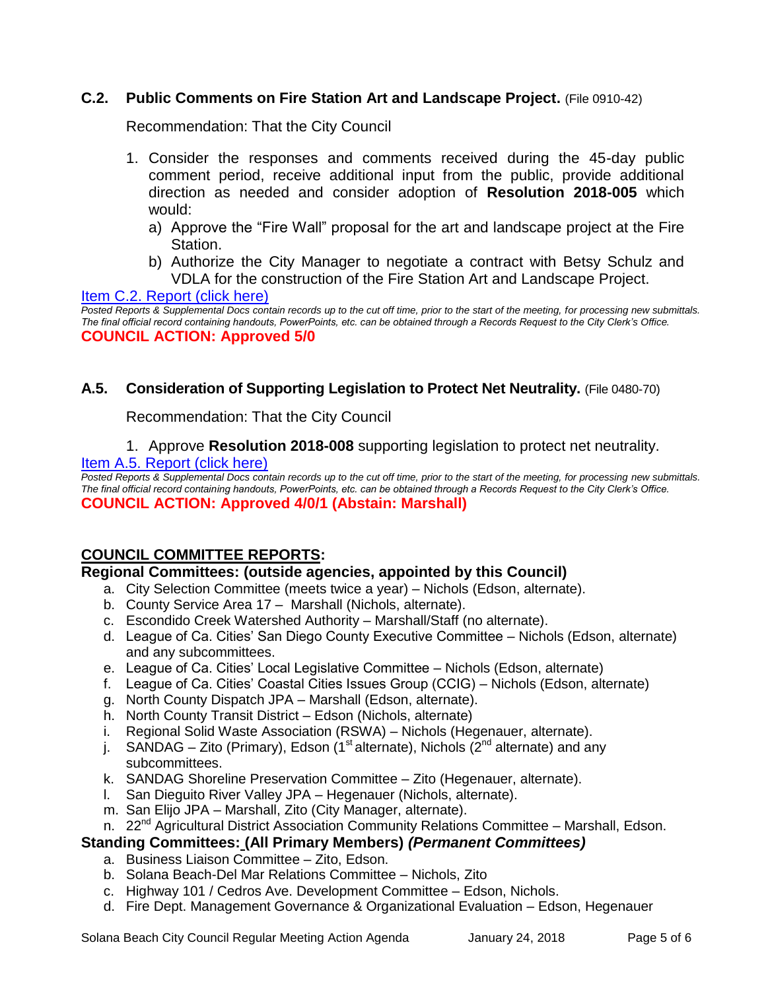# **C.2. Public Comments on Fire Station Art and Landscape Project.** (File 0910-42)

Recommendation: That the City Council

- 1. Consider the responses and comments received during the 45-day public comment period, receive additional input from the public, provide additional direction as needed and consider adoption of **Resolution 2018-005** which would:
	- a) Approve the "Fire Wall" proposal for the art and landscape project at the Fire Station.
	- b) Authorize the City Manager to negotiate a contract with Betsy Schulz and VDLA for the construction of the Fire Station Art and Landscape Project.

[Item C.2. Report \(click here\)](https://solanabeach.govoffice3.com/vertical/Sites/%7B840804C2-F869-4904-9AE3-720581350CE7%7D/uploads/Item_C.2._Report_(click_here)_-_1-24-18_-_R.pdf)

*Posted Reports & Supplemental Docs contain records up to the cut off time, prior to the start of the meeting, for processing new submittals. The final official record containing handouts, PowerPoints, etc. can be obtained through a Records Request to the City Clerk's Office.* **COUNCIL ACTION: Approved 5/0**

# **A.5. Consideration of Supporting Legislation to Protect Net Neutrality.** (File 0480-70)

Recommendation: That the City Council

1. Approve **Resolution 2018-008** supporting legislation to protect net neutrality.

#### [Item A.5. Report \(click here\)](https://solanabeach.govoffice3.com/vertical/Sites/%7B840804C2-F869-4904-9AE3-720581350CE7%7D/uploads/Item_A.5._Report_(click_here)_-_1-24-18.PDF)

*Posted Reports & Supplemental Docs contain records up to the cut off time, prior to the start of the meeting, for processing new submittals. The final official record containing handouts, PowerPoints, etc. can be obtained through a Records Request to the City Clerk's Office.* **COUNCIL ACTION: Approved 4/0/1 (Abstain: Marshall)** 

# **COUNCIL COMMITTEE REPORTS:**

# **Regional Committees: (outside agencies, appointed by this Council)**

- a. City Selection Committee (meets twice a year) Nichols (Edson, alternate).
- b. County Service Area 17 Marshall (Nichols, alternate).
- c. Escondido Creek Watershed Authority Marshall/Staff (no alternate).
- d. League of Ca. Cities' San Diego County Executive Committee Nichols (Edson, alternate) and any subcommittees.
- e. League of Ca. Cities' Local Legislative Committee Nichols (Edson, alternate)
- f. League of Ca. Cities' Coastal Cities Issues Group (CCIG) Nichols (Edson, alternate)
- g. North County Dispatch JPA Marshall (Edson, alternate).
- h. North County Transit District Edson (Nichols, alternate)
- i. Regional Solid Waste Association (RSWA) Nichols (Hegenauer, alternate).
- j. SANDAG Zito (Primary), Edson (1<sup>st</sup> alternate), Nichols (2<sup>nd</sup> alternate) and any subcommittees.
- k. SANDAG Shoreline Preservation Committee Zito (Hegenauer, alternate).
- l. San Dieguito River Valley JPA Hegenauer (Nichols, alternate).
- m. San Elijo JPA Marshall, Zito (City Manager, alternate).
- n. 22<sup>nd</sup> Agricultural District Association Community Relations Committee Marshall, Edson.

# **Standing Committees: (All Primary Members)** *(Permanent Committees)*

- a. Business Liaison Committee Zito, Edson.
- b. Solana Beach-Del Mar Relations Committee Nichols, Zito
- c. Highway 101 / Cedros Ave. Development Committee Edson, Nichols.
- d. Fire Dept. Management Governance & Organizational Evaluation Edson, Hegenauer